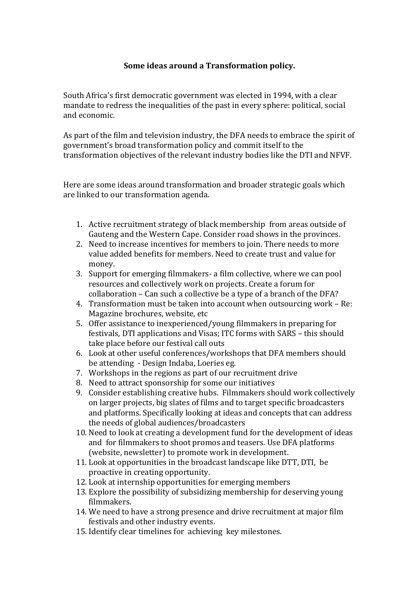## **Some ideas around a Transformation policy.**

South Africa's first democratic government was elected in 1994, with a clear mandate to redress the inequalities of the past in every sphere: political, social and economic.

As part of the film and television industry, the DFA needs to embrace the spirit of government's broad transformation policy and commit itself to the transformation objectives of the relevant industry bodies like the DTI and NFVF.

Here are some ideas around transformation and broader strategic goals which are linked to our transformation agenda.

- 1. Active recruitment strategy of black membership from areas outside of Gauteng and the Western Cape. Consider road shows in the provinces.
- 2. Need to increase incentives for members to join. There needs to more value added benefits for members. Need to create trust and value for money.
- 3. Support for emerging filmmakers- a film collective, where we can pool resources and collectively work on projects. Create a forum for collaboration – Can such a collective be a type of a branch of the DFA?
- 4. Transformation must be taken into account when outsourcing work Re: Magazine brochures, website, etc
- 5. Offer assistance to inexperienced/young filmmakers in preparing for festivals, DTI applications and Visas; ITC forms with SARS – this should take place before our festival call outs
- 6. Look at other useful conferences/workshops that DFA members should be attending - Design Indaba, Loeries eg.
- 7. Workshops in the regions as part of our recruitment drive
- 8. Need to attract sponsorship for some our initiatives
- 9. Consider establishing creative hubs. Filmmakers should work collectively on larger projects, big slates of films and to target specific broadcasters and platforms. Specifically looking at ideas and concepts that can address the needs of global audiences/broadcasters
- 10. Need to look at creating a development fund for the development of ideas and for filmmakers to shoot promos and teasers. Use DFA platforms (website, newsletter) to promote work in development.
- 11. Look at opportunities in the broadcast landscape like DTT, DTI, be proactive in creating opportunity.
- 12. Look at internship opportunities for emerging members
- 13. Explore the possibility of subsidizing membership for deserving young filmmakers.
- 14. We need to have a strong presence and drive recruitment at major film festivals and other industry events.
- 15. Identify clear timelines for achieving key milestones.